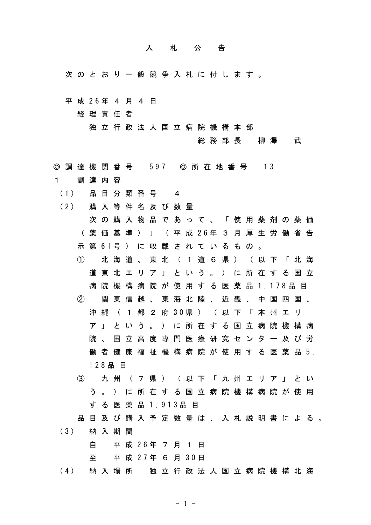## 入札公告

次のとおり一般競争入札に付します。

平 成 26年 4 月 4 日

経理責任者

独立行政法人国立病院機構本部

総務部長 柳澤 武

- ◎ 調 達 機 関 番 号 597 ◎ 所 在 地 番 号 13 1 調達内容
- (1) 品 目 分 類 番 号 4
- (2) 購 入 等 件 名 及 び 数 量
	- 次の購入物品であって、「使用薬剤の薬価 ( 薬 価 基 準 ) 」 ( 平 成 26年 3 月 厚 生 労 働 省 告 示 第 61号 ) に 収 載 さ れ て い る も の 。
	- ① 北海道、東北(1道6県)(以下「北海 道東北エリア」という。)に所在する国立 病院機構病院が使用する医薬品 1, 178品目 ② 関東信越、東海北陸、近畿、中国四国、
	- 沖 縄 ( 1 都 2 府 30県 ) ( 以 下 「 本 州 エ リ ア」という。)に所在する国立病院機構病 院、国立高度専門医療研究センター及び労 働 者 健 康 福 祉 機 構 病 院 が 使 用 す る 医 薬 品 5, 128品 目
	- ③ 九州(7県)(以下「九州エリア」とい う。)に所在する国立病院機構病院が使用 する医薬品 1,913品 目
	- 品目及び購入予定数量は、入札説明書による。
- (3) 納 入 期 間

自 平 成 26年 7 月 1 日

- 至 平 成 27年 6 月 30日
- (4) 納 入 場 所 独 立 行 政 法 人 国 立 病 院 機 構 北 海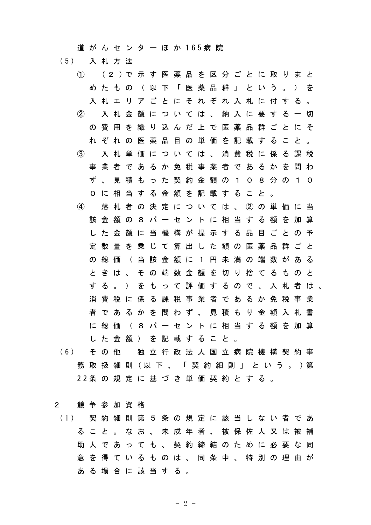道 が ん セ ン タ ー ほ か 165病 院

- (5) 入 札 方 法
	- ① (2 )で 示 す 医 薬 品 を 区 分 ご と に 取 り ま と めたもの (以下「医薬品群」という。) を 入札エリアごとにそれぞれ入札に付する。 ② 入札金額については、納入に要する一切 の費用を織り込んだ上で医薬品群ごとにそ れぞれの医薬品目の単価を記載すること。 ③ 入札単価については、消費税に係る課税 事業者であるか免税事業者であるかを問わ ず、見積もった契約金額の108分の10 0に相当する金額を記載すること。 ④ 落札者の決定については、②の単価に当 該金額の8パーセントに相当する額を加算 した金額に当機構が提示する品目ごとの予 定数量を乗じて算出した額の医薬品群ごと の総価 (当該金額に 1 円 未 満 の 端 数 が あ る ときは、その端数金額を切り捨てるものと する。)をもって評価するので、入札者は、 消費税に係る課税事業者であるか免税事業 者であるかを問わず、見積もり金額入札書 に総価(8パーセントに相当する額を加算 した金額)を記載すること。
- (6) そ の 他 独 立 行 政 法 人 国 立 病 院 機 構 契 約 事 務 取 扱 細 則 (以 下 、 「 契 約 細 則 」 と い う 。 )第 22条 の 規 定 に 基 づ き 単 価 契 約 と す る 。
- 2 競争参加資格
- (1) 契 約 細 則 第 5 条 の 規 定 に 該 当 し な い 者 で あ ること。なお、未成年者、被保佐人又は被補 助人であっても、契約締結のために必要な同 意を得ているものは、同条中、特別の理由が ある場合に該当する。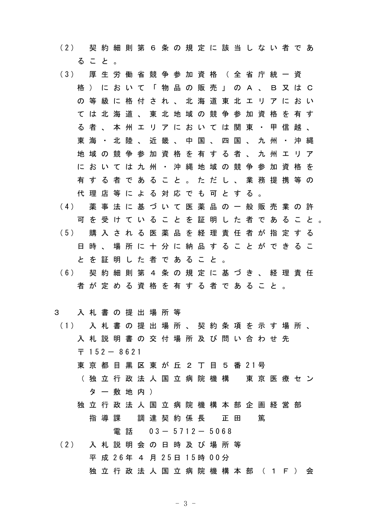- (2) 契 約 細 則 第 6 条 の 規 定 に 該 当 し な い 者 で あ ること。
- (3) 厚 生 労 働 省 競 争 参 加 資 格 ( 全 省 庁 統 一 資 格)において「物品の販売」のA、B又はC の等級に格付され、北海道東北エリアにおい ては北海道、東北地域の競争参加資格を有す る者、本州エリアにおいては関東・甲信越、 東海·北陸、近畿、中国、四国、九州·沖縄 地域の競争参加資格を有する者、九州エリア においては九州・沖縄地域の競争参加資格を 有する者であること。ただし、業務提携等の 代理店等による対応でも可とする。
- (4) 薬 事 法 に 基 づ い て 医 薬 品 の 一 般 販 売 業 の 許 可を受けていることを証明した者であること。 (5) 購 入 さ れ る 医 薬 品 を 経 理 責 任 者 が 指 定 す る 日時、場所に十分に納品することができるこ とを証明した者であること。
- (6) 契 約 細 則 第 4 条 の 規 定 に 基 づ き 、 経 理 責 任 者が定める資格を有する者であること。

## 3 入札書の提出場所等

- (1) 入 札 書 の 提 出 場 所 、 契 約 条 項 を 示 す 場 所 、 入札説明書の交付場所及び問い合わせ先  $7152 - 8621$ 
	- 東 京 都 日 黒 区 東 が 斤 2 丁 日 5 番 21号
	- (独立行政法人国立病院機構 東京医療セン ター敷地内)
	- 独立行政法人国立病院機構本部企画経営部 指導課 調達契約係長 正田 篤

電話 03- 5712- 5068

(2) 入 札 説 明 会 の 日 時 及 び 場 所 等 平 成 26年 4 月 25日 15時 00分 独立行政法人国立病院機構本部 (1F) 会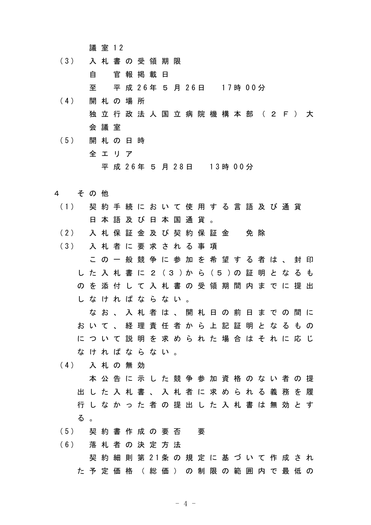議 室 12

(3) 入 札 書 の 受 領 期 限

自 官報掲載日

至 平 成 26年 5 月 26日 17時 00分

- (4) 開 札 の 場 所 独立行政法人国立病院機構本部 (2F)大 会議室
- (5) 開 札 の 日 時 全エリア 平 成 26年 5 月 28日 13時 00分
- 4 その他
- (1) 契 約 手 続 に お い て 使 用 す る 言 語 及 び 通 貨 日本語及び日本国通貨。
- (2) 入 札 保 証 金 及 び 契 約 保 証 金 免 除

(3) 入 札 者 に 要 求 さ れ る 事 項

この一般競争に参加を希望する者は、封印 し た 入 札 書 に 2 (3 )か ら (5 )の 証 明 と な る も のを添付して入札書の受領期間内までに提出 しなければならない。

なお、入札者は、開札日の前日までの間に おいて、経理責任者から上記証明となるもの について説明を求められた場合はそれに応じ なければならない。

(4) 入 札 の 無 効

本公告に示した競争参加資格のない者の提 出した入札書、入札者に求められる義務を履 行しなかった者の提出した入札書は無効とす る 。

(5) 契 約 書 作 成 の 要 否 要

(6) 落 札 者 の 決 定 方 法

契 約 細 則 第 21条 の 規 定 に 基 づ い て 作 成 さ れ た予定価格(総価)の制限の範囲内で最低の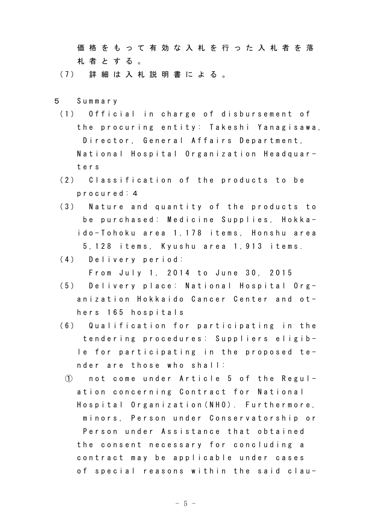価格をもって有効な入札を行った入札者を落 札者とする。

(7) 詳 細 は 入 札 説 明 書 に よ る 。

- 5 Summary
	- (1) Official in charge of disbursement of the procuring entity: Takeshi Yanagisawa, Director, General Affairs Department, National Hospital Organization Headquarters
	- (2) Classification of the products to be procured:4
	- (3) Nature and quantity of the products to be purchased: Medicine Supplies, Hokkaido-Tohoku area 1,178 items, Honshu area 5,128 items, Kyushu area 1,913 items.
	- (4) Delivery period:

From July 1, 2014 to June 30, 2015

- (5) Delivery place: National Hospital Organization Hokkaido Cancer Center and others 165 hospitals
- (6) Qualification for participating in the tendering procedures: Suppliers eligible for participating in the proposed tender are those who shall:
- ① not come under Article 5 of the Regulation concerning Contract for National Hospital Organization(NHO). Furthermore, minors, Person under Conservatorship or Person under Assistance that obtained the consent necessary for concluding a contract may be applicable under cases of special reasons within the said clau-